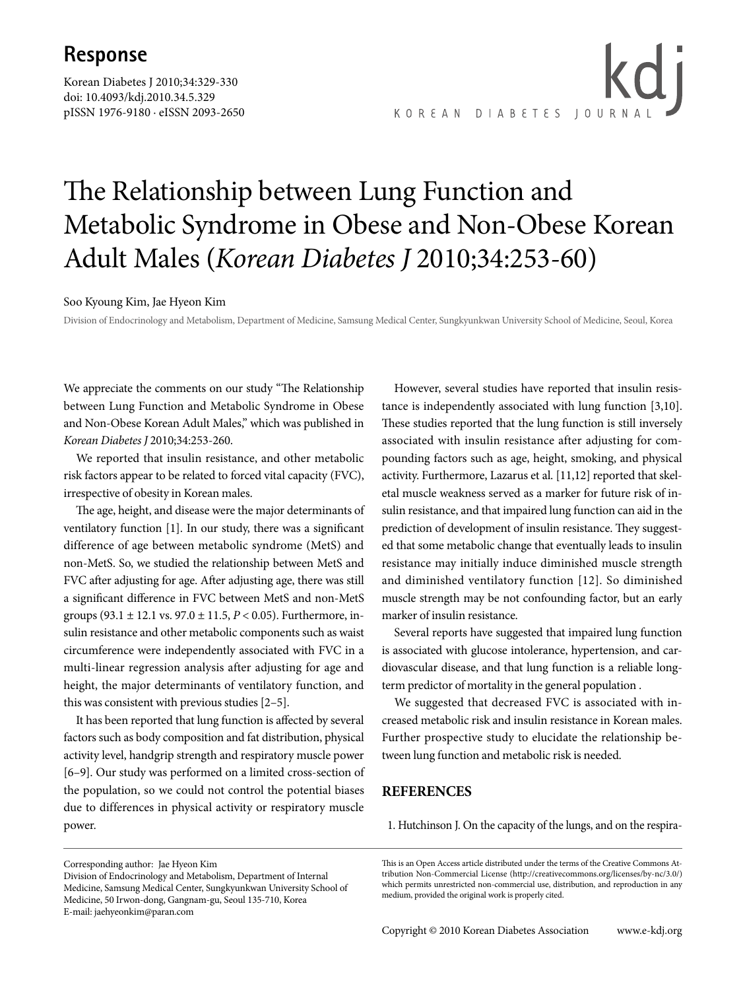## **Response**

Korean Diabetes J 2010;34:329-330 doi: 10.4093/kdj.2010.34.5.329 pISSN 1976-9180 · eISSN 2093-2650

kd i KOREAN DIABETES JOURNA

# The Relationship between Lung Function and Metabolic Syndrome in Obese and Non-Obese Korean Adult Males (*Korean Diabetes J* 2010;34:253-60)

#### Soo Kyoung Kim, Jae Hyeon Kim

Division of Endocrinology and Metabolism, Department of Medicine, Samsung Medical Center, Sungkyunkwan University School of Medicine, Seoul, Korea

We appreciate the comments on our study "The Relationship between Lung Function and Metabolic Syndrome in Obese and Non-Obese Korean Adult Males," which was published in *Korean Diabetes J* 2010;34:253-260.

We reported that insulin resistance, and other metabolic risk factors appear to be related to forced vital capacity (FVC), irrespective of obesity in Korean males.

The age, height, and disease were the major determinants of ventilatory function [1]. In our study, there was a significant difference of age between metabolic syndrome (MetS) and non-MetS. So, we studied the relationship between MetS and FVC after adjusting for age. After adjusting age, there was still a significant difference in FVC between MetS and non-MetS groups (93.1 ± 12.1 vs. 97.0 ± 11.5, *P* < 0.05). Furthermore, insulin resistance and other metabolic components such as waist circumference were independently associated with FVC in a multi-linear regression analysis after adjusting for age and height, the major determinants of ventilatory function, and this was consistent with previous studies [2–5].

It has been reported that lung function is affected by several factors such as body composition and fat distribution, physical activity level, handgrip strength and respiratory muscle power [6–9]. Our study was performed on a limited cross-section of the population, so we could not control the potential biases due to differences in physical activity or respiratory muscle power.

However, several studies have reported that insulin resistance is independently associated with lung function [3,10]. These studies reported that the lung function is still inversely associated with insulin resistance after adjusting for compounding factors such as age, height, smoking, and physical activity. Furthermore, Lazarus et al. [11,12] reported that skeletal muscle weakness served as a marker for future risk of insulin resistance, and that impaired lung function can aid in the prediction of development of insulin resistance. They suggested that some metabolic change that eventually leads to insulin resistance may initially induce diminished muscle strength and diminished ventilatory function [12]. So diminished muscle strength may be not confounding factor, but an early marker of insulin resistance.

Several reports have suggested that impaired lung function is associated with glucose intolerance, hypertension, and cardiovascular disease, and that lung function is a reliable longterm predictor of mortality in the general population .

We suggested that decreased FVC is associated with increased metabolic risk and insulin resistance in Korean males. Further prospective study to elucidate the relationship between lung function and metabolic risk is needed.

### **REFERENCES**

1. Hutchinson J. On the capacity of the lungs, and on the respira-

Corresponding author: Jae Hyeon Kim

This is an Open Access article distributed under the terms of the Creative Commons Attribution Non-Commercial License (http://creativecommons.org/licenses/by-nc/3.0/) which permits unrestricted non-commercial use, distribution, and reproduction in any medium, provided the original work is properly cited.

Division of Endocrinology and Metabolism, Department of Internal Medicine, Samsung Medical Center, Sungkyunkwan University School of Medicine, 50 Irwon-dong, Gangnam-gu, Seoul 135-710, Korea E-mail: jaehyeonkim@paran.com